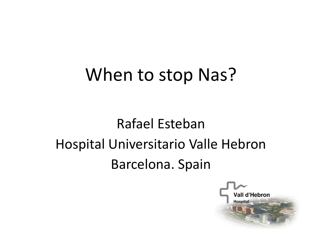## When to stop Nas?

## Rafael Esteban Hospital Universitario Valle Hebron Barcelona. Spain

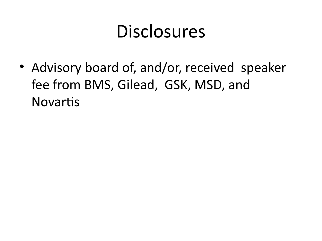# **Disclosures**

• Advisory board of, and/or, received speaker fee from BMS, Gilead, GSK, MSD, and Novartis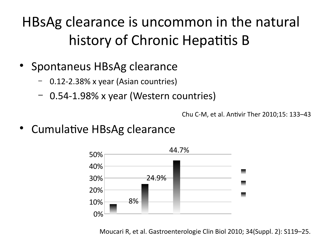## HBsAg clearance is uncommon in the natural history of Chronic Hepatitis B

- Spontaneus HBsAg clearance
	- 0.12-2.38% x year (Asian countries)
	- 0.54-1.98% x year (Western countries)

Chu C-M, et al. Antivir Ther 2010;15: 133–43

• Cumulative HBsAg clearance



Moucari R, et al. Gastroenterologie Clin Biol 2010; 34(Suppl. 2): S119–25.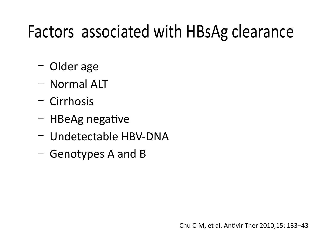# Factors associated with HBsAg clearance

- Older age
- Normal ALT
- Cirrhosis
- HBeAg negative
- Undetectable HBV-DNA
- Genotypes A and B

Chu C-M, et al. Antivir Ther 2010;15: 133–43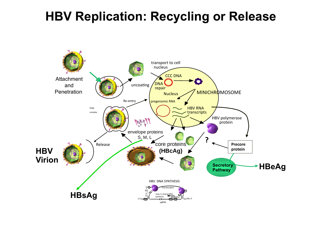### **HBV Replication: Recycling or Release**

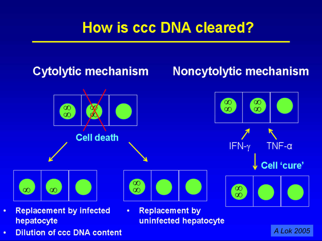### **How is ccc DNA cleared?**



uninfected hepatocyte

*A Lok 2005*

- ٠ hepatocyte
- **Dilution of ccc DNA content** ٠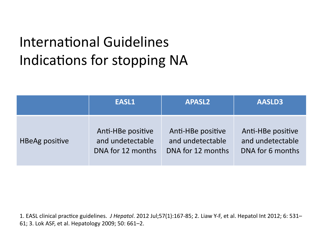## International Guidelines Indications for stopping NA

|                       | EASL1             | <b>APASL2</b>     | AASLD3            |  |
|-----------------------|-------------------|-------------------|-------------------|--|
| <b>HBeAg positive</b> | Anti-HBe positive | Anti-HBe positive | Anti-HBe positive |  |
|                       | and undetectable  | and undetectable  | and undetectable  |  |
|                       | DNA for 12 months | DNA for 12 months | DNA for 6 months  |  |

1. EASL clinical practice guidelines. *J Hepatol*. 2012 Jul;57(1):167-85; 2. Liaw Y-F, et al. Hepatol Int 2012; 6: 531– 61; 3. Lok ASF, et al. Hepatology 2009; 50: 661–2.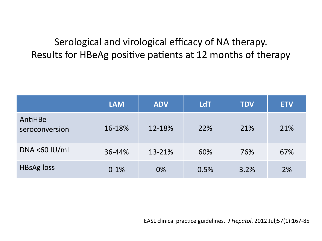#### Serological and virological efficacy of NA therapy. Results for HBeAg positive patients at 12 months of therapy

|                           | <b>LAM</b> | <b>ADV</b> | <b>LdT</b> | <b>TDV</b> | <b>ETV</b> |
|---------------------------|------------|------------|------------|------------|------------|
| AntiHBe<br>seroconversion | 16-18%     | 12-18%     | 22%        | 21%        | 21%        |
| DNA < $60$ IU/mL          | 36-44%     | 13-21%     | 60%        | 76%        | 67%        |
| <b>HBsAg loss</b>         | $0-1%$     | 0%         | 0.5%       | 3.2%       | 2%         |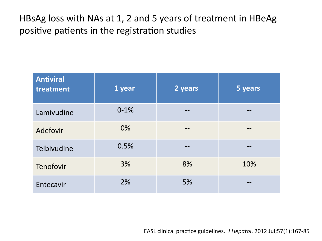HBsAg loss with NAs at 1, 2 and 5 years of treatment in HBeAg positive patients in the registration studies

| <b>Antiviral</b><br>treatment | 1 year | 2 years | 5 years |
|-------------------------------|--------|---------|---------|
| Lamivudine                    | $0-1%$ |         |         |
| Adefovir                      | 0%     |         |         |
| Telbivudine                   | 0.5%   |         |         |
| Tenofovir                     | 3%     | 8%      | 10%     |
| Entecavir                     | 2%     | 5%      |         |

EASL clinical practice guidelines. *J Hepatol*. 2012 Jul;57(1):167-85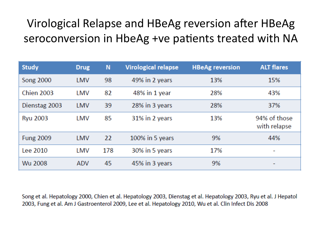### Virological Relapse and HBeAg reversion after HBeAg seroconversion in HbeAg +ve patients treated with NA

| <b>Study</b>      | <b>Drug</b> | N   | <b>Virological relapse</b> | <b>HBeAg reversion</b> | <b>ALT flares</b>            |
|-------------------|-------------|-----|----------------------------|------------------------|------------------------------|
| <b>Song 2000</b>  | LMV         | 98  | 49% in 2 years             | 13%                    | 15%                          |
| <b>Chien 2003</b> | LMV         | 82  | 48% in 1 year              | 28%                    | 43%                          |
| Dienstag 2003     | LMV         | 39  | 28% in 3 years             | 28%                    | 37%                          |
| <b>Ryu 2003</b>   | LMV         | 85  | 31% in 2 years             | 13%                    | 94% of those<br>with relapse |
| <b>Fung 2009</b>  | LMV         | 22  | 100% in 5 years            | 9%                     | 44%                          |
| Lee 2010          | LMV         | 178 | 30% in 5 years             | 17%                    | ۰                            |
| Wu 2008           | <b>ADV</b>  | 45  | 45% in 3 years             | 9%                     | -                            |

Song et al. Hepatology 2000, Chien et al. Hepatology 2003, Dienstag et al. Hepatology 2003, Ryu et al. J Hepatol 2003, Fung et al. Am J Gastroenterol 2009, Lee et al. Hepatology 2010, Wu et al. Clin Infect Dis 2008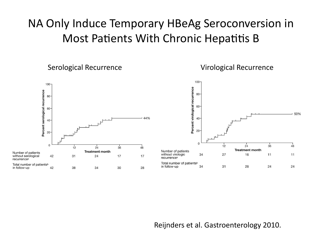#### NA Only Induce Temporary HBeAg Seroconversion in Most Patients With Chronic Hepatitis B

Serological Recurrence Virological Recurrence



Reijnders et al. Gastroenterology 2010.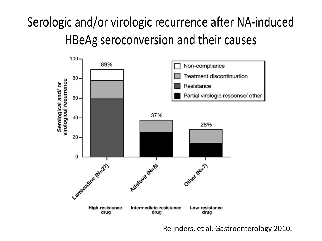### Serologic and/or virologic recurrence after NA-induced HBeAg seroconversion and their causes



Reijnders, et al. Gastroenterology 2010.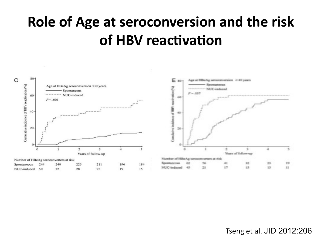### **Role of Age at seroconversion and the risk of HBV reactivation**



Tseng et al. JID 2012:206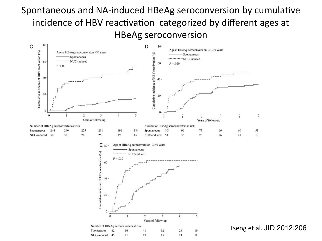#### Spontaneous and NA-induced HBeAg seroconversion by cumulative incidence of HBV reactivation categorized by diferent ages at HBeAg seroconversion







Tseng et al. JID 2012:206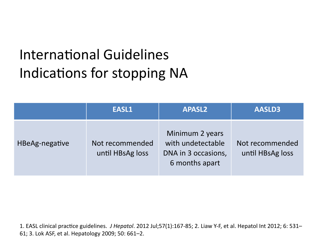## International Guidelines Indications for stopping NA

|                | EASL1                               | <b>APASL2</b>                                                                 | <b>AASLD3</b>                       |
|----------------|-------------------------------------|-------------------------------------------------------------------------------|-------------------------------------|
| HBeAg-negative | Not recommended<br>until HBsAg loss | Minimum 2 years<br>with undetectable<br>DNA in 3 occasions,<br>6 months apart | Not recommended<br>until HBsAg loss |

1. EASL clinical practice guidelines. *J Hepatol*. 2012 Jul;57(1):167-85; 2. Liaw Y-F, et al. Hepatol Int 2012; 6: 531– 61; 3. Lok ASF, et al. Hepatology 2009; 50: 661–2.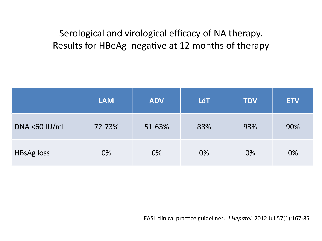#### Serological and virological efficacy of NA therapy. Results for HBeAg negative at 12 months of therapy

|                   | <b>LAM</b> | <b>ADV</b> | <b>LdT</b> | <b>TDV</b> | <b>ETV</b> |
|-------------------|------------|------------|------------|------------|------------|
| DNA <60 $IU/mL$   | 72-73%     | 51-63%     | 88%        | 93%        | 90%        |
| <b>HBsAg loss</b> | 0%         | 0%         | 0%         | 0%         | 0%         |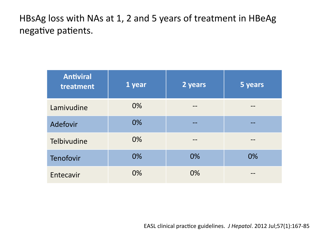HBsAg loss with NAs at 1, 2 and 5 years of treatment in HBeAg negative patients.

| <b>Antiviral</b><br>treatment | 1 year | 2 years | 5 years |
|-------------------------------|--------|---------|---------|
| Lamivudine                    | 0%     |         |         |
| Adefovir                      | 0%     |         |         |
| Telbivudine                   | 0%     |         |         |
| Tenofovir                     | 0%     | 0%      | 0%      |
| Entecavir                     | 0%     | 0%      |         |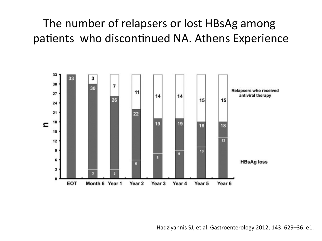### The number of relapsers or lost HBsAg among patients who discontinued NA. Athens Experience

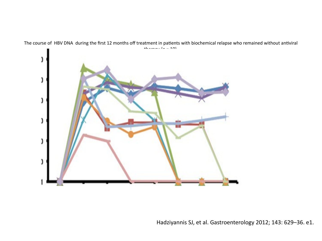

The course of HBV DNA during the first 12 months off treatment in patients with biochemical relapse who remained without antiviral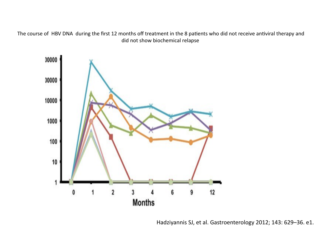The course of HBV DNA during the first 12 months off treatment in the 8 patients who did not receive antiviral therapy and did not show biochemical relapse

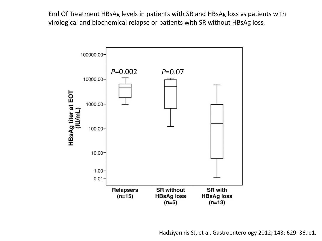End Of Treatment HBsAg levels in patients with SR and HBsAg loss vs patients with virological and biochemical relapse or patients with SR without HBsAg loss*.* 

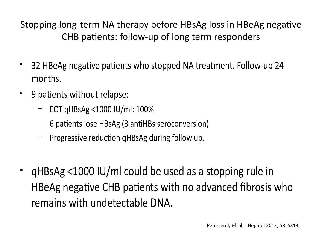Stopping long-term NA therapy before HBsAg loss in HBeAg negative CHB patients: follow-up of long term responders

- 32 HBeAg negative patients who stopped NA treatment. Follow-up 24 months.
- 9 patients without relapse:
	- EOT qHBsAg <1000 IU/ml: 100%
	- 6 patients lose HBsAg (3 antiHBs seroconversion)
	- Progressive reduction qHBsAg during follow up.
- qHBsAg <1000 IU/ml could be used as a stopping rule in HBeAg negative CHB patients with no advanced fibrosis who remains with undetectable DNA.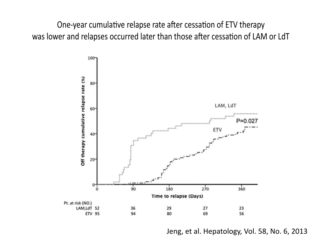One-year cumulative relapse rate after cessation of ETV therapy was lower and relapses occurred later than those after cessation of LAM or LdT



Jeng, et al. Hepatology, Vol. 58, No. 6, 2013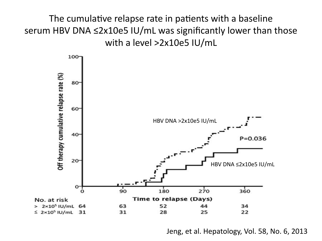The cumulative relapse rate in patients with a baseline serum HBV DNA ≤2x10e5 IU/mL was significantly lower than those with a level >2x10e5 IU/mL



Jeng, et al. Hepatology, Vol. 58, No. 6, 2013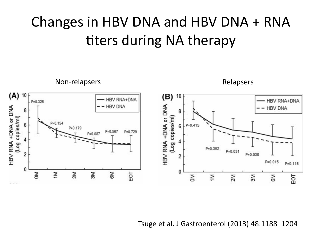### Changes in HBV DNA and HBV DNA + RNA titers during NA therapy



Tsuge et al. J Gastroenterol (2013) 48:1188–1204